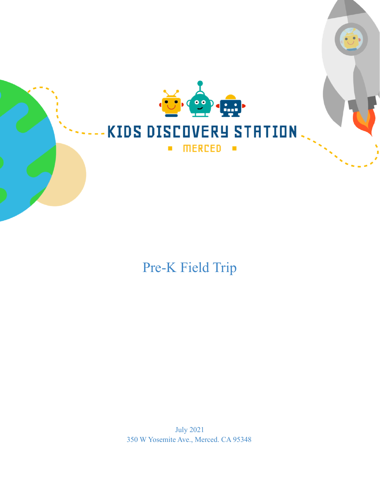

# Pre-K Field Trip

July 2021 350 W Yosemite Ave., Merced. CA 95348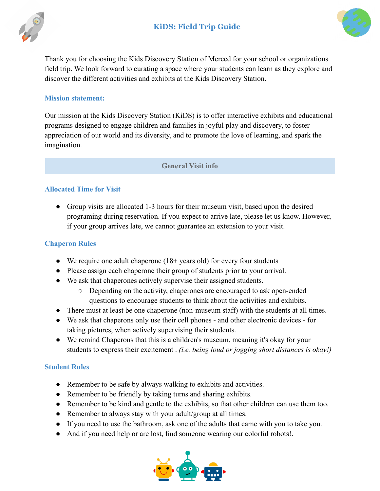



Thank you for choosing the Kids Discovery Station of Merced for your school or organizations field trip. We look forward to curating a space where your students can learn as they explore and discover the different activities and exhibits at the Kids Discovery Station.

#### **Mission statement:**

Our mission at the Kids Discovery Station (KiDS) is to offer interactive exhibits and educational programs designed to engage children and families in joyful play and discovery, to foster appreciation of our world and its diversity, and to promote the love of learning, and spark the imagination.

#### **General Visit info**

#### **Allocated Time for Visit**

• Group visits are allocated 1-3 hours for their museum visit, based upon the desired programing during reservation. If you expect to arrive late, please let us know. However, if your group arrives late, we cannot guarantee an extension to your visit.

#### **Chaperon Rules**

- We require one adult chaperone  $(18 + \text{years old})$  for every four students
- Please assign each chaperone their group of students prior to your arrival.
- We ask that chaperones actively supervise their assigned students.
	- Depending on the activity, chaperones are encouraged to ask open-ended questions to encourage students to think about the activities and exhibits.
- There must at least be one chaperone (non-museum staff) with the students at all times.
- We ask that chaperons only use their cell phones and other electronic devices for taking pictures, when actively supervising their students.
- We remind Chaperons that this is a children's museum, meaning it's okay for your students to express their excitement . *(i.e. being loud or jogging short distances is okay!)*

#### **Student Rules**

- Remember to be safe by always walking to exhibits and activities.
- Remember to be friendly by taking turns and sharing exhibits.
- Remember to be kind and gentle to the exhibits, so that other children can use them too.
- Remember to always stay with your adult/group at all times.
- If you need to use the bathroom, ask one of the adults that came with you to take you.
- And if you need help or are lost, find someone wearing our colorful robots!

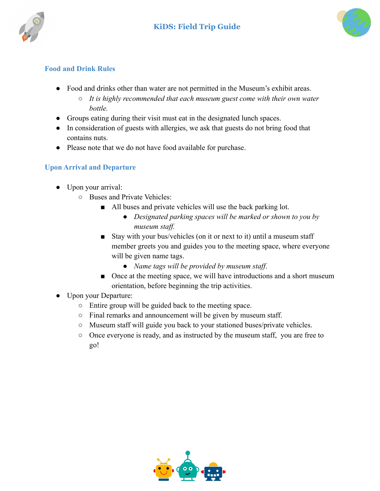



#### **Food and Drink Rules**

- Food and drinks other than water are not permitted in the Museum's exhibit areas.
	- *○ It is highly recommended that each museum guest come with their own water bottle.*
- Groups eating during their visit must eat in the designated lunch spaces.
- In consideration of guests with allergies, we ask that guests do not bring food that contains nuts.
- Please note that we do not have food available for purchase.

#### **Upon Arrival and Departure**

- Upon your arrival:
	- Buses and Private Vehicles:
		- All buses and private vehicles will use the back parking lot.
			- *● Designated parking spaces will be marked or shown to you by museum staff.*
		- Stay with your bus/vehicles (on it or next to it) until a museum staff member greets you and guides you to the meeting space, where everyone will be given name tags.
			- *Name tags will be provided by museum staff*.
		- Once at the meeting space, we will have introductions and a short museum orientation, before beginning the trip activities.
- Upon your Departure:
	- Entire group will be guided back to the meeting space.
	- Final remarks and announcement will be given by museum staff.
	- Museum staff will guide you back to your stationed buses/private vehicles.
	- Once everyone is ready, and as instructed by the museum staff, you are free to go!

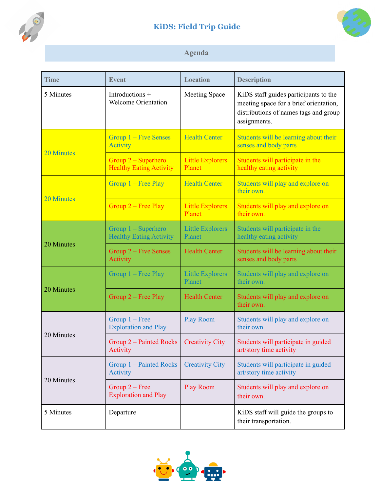

## **KiDS: Field Trip Guide**



### **Agenda**

| <b>Time</b>       | <b>Event</b>                                          | <b>Location</b>                   | <b>Description</b>                                                                                                                       |
|-------------------|-------------------------------------------------------|-----------------------------------|------------------------------------------------------------------------------------------------------------------------------------------|
| 5 Minutes         | Introductions +<br><b>Welcome Orientation</b>         | <b>Meeting Space</b>              | KiDS staff guides participants to the<br>meeting space for a brief orientation,<br>distributions of names tags and group<br>assignments. |
| <b>20 Minutes</b> | Group $1 -$ Five Senses<br><b>Activity</b>            | <b>Health Center</b>              | Students will be learning about their<br>senses and body parts                                                                           |
|                   | Group 2 – Superhero<br><b>Healthy Eating Activity</b> | <b>Little Explorers</b><br>Planet | Students will participate in the<br>healthy eating activity                                                                              |
| 20 Minutes        | Group $1$ – Free Play                                 | <b>Health Center</b>              | Students will play and explore on<br>their own.                                                                                          |
|                   | Group $2$ – Free Play                                 | <b>Little Explorers</b><br>Planet | Students will play and explore on<br>their own.                                                                                          |
| 20 Minutes        | Group 1 – Superhero<br><b>Healthy Eating Activity</b> | <b>Little Explorers</b><br>Planet | Students will participate in the<br>healthy eating activity                                                                              |
|                   | Group $2$ – Five Senses<br>Activity                   | <b>Health Center</b>              | Students will be learning about their<br>senses and body parts                                                                           |
| 20 Minutes        | Group 1 – Free Play                                   | <b>Little Explorers</b><br>Planet | Students will play and explore on<br>their own.                                                                                          |
|                   | Group $2$ – Free Play                                 | <b>Health Center</b>              | Students will play and explore on<br>their own.                                                                                          |
| 20 Minutes        | Group $1 -$ Free<br><b>Exploration and Play</b>       | <b>Play Room</b>                  | Students will play and explore on<br>their own.                                                                                          |
|                   | Group 2 – Painted Rocks<br>Activity                   | <b>Creativity City</b>            | Students will participate in guided<br>art/story time activity                                                                           |
| 20 Minutes        | Group 1 – Painted Rocks<br>Activity                   | <b>Creativity City</b>            | Students will participate in guided<br>art/story time activity                                                                           |
|                   | $Group 2 - Free$<br><b>Exploration and Play</b>       | <b>Play Room</b>                  | Students will play and explore on<br>their own.                                                                                          |
| 5 Minutes         | Departure                                             |                                   | KiDS staff will guide the groups to<br>their transportation.                                                                             |